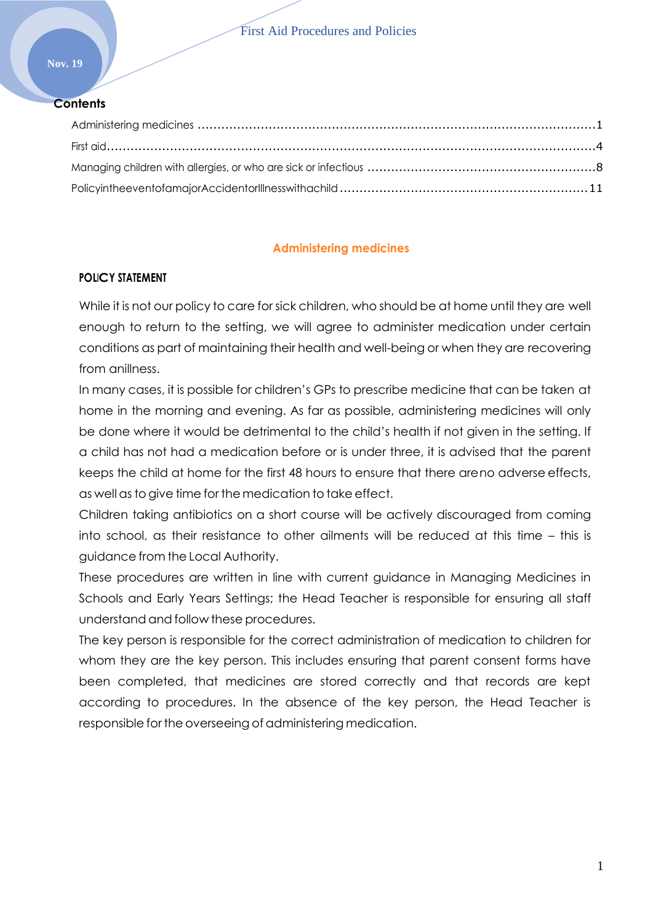#### **Contents**

# **Administering medicines**

# <span id="page-0-0"></span>**POLICY STATEMENT**

While it is not our policy to care for sick children, who should be at home until they are well enough to return to the setting, we will agree to administer medication under certain conditions as part of maintaining their health and well-being or when they are recovering from anillness.

In many cases, it is possible for children's GPs to prescribe medicine that can be taken at home in the morning and evening. As far as possible, administering medicines will only be done where it would be detrimental to the child's health if not given in the setting. If a child has not had a medication before or is under three, it is advised that the parent keeps the child at home for the first 48 hours to ensure that there areno adverse effects, as well asto give time for the medication to take effect.

Children taking antibiotics on a short course will be actively discouraged from coming into school, as their resistance to other ailments will be reduced at this time – this is guidance from the Local Authority.

These procedures are written in line with current guidance in Managing Medicines in Schools and Early Years Settings; the Head Teacher is responsible for ensuring all staff understand and follow these procedures.

The key person is responsible for the correct administration of medication to children for whom they are the key person. This includes ensuring that parent consent forms have been completed, that medicines are stored correctly and that records are kept according to procedures. In the absence of the key person, the Head Teacher is responsible for the overseeing of administering medication.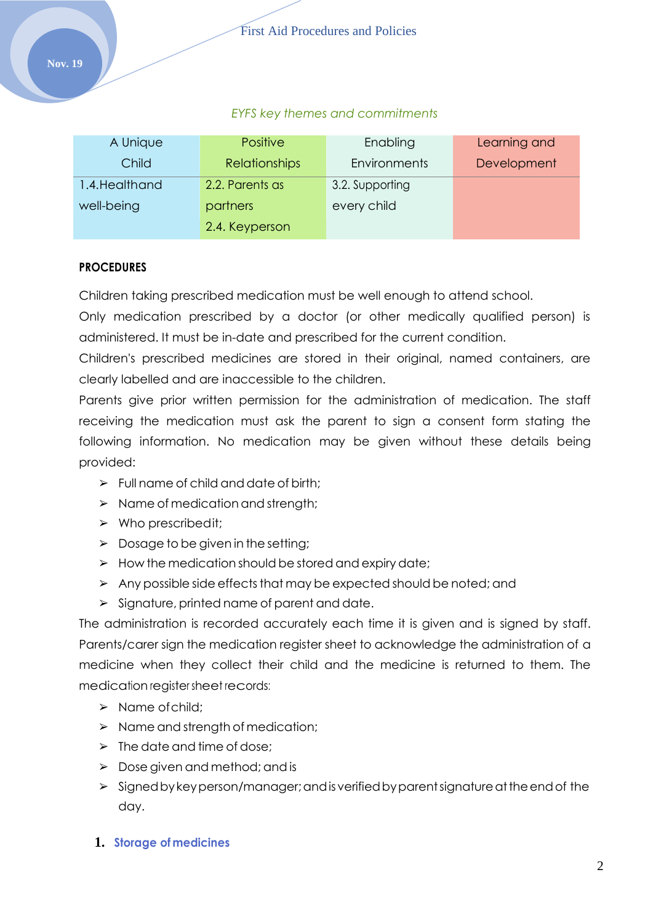### *EYFS key themes and commitments*

| A Unique       | <b>Positive</b>      | Enabling        | Learning and |
|----------------|----------------------|-----------------|--------------|
| Child          | <b>Relationships</b> | Environments    | Development  |
| 1.4. Healthand | 2.2. Parents as      | 3.2. Supporting |              |
| well-being     | partners             | every child     |              |
|                | 2.4. Keyperson       |                 |              |

#### **PROCEDURES**

Children taking prescribed medication must be well enough to attend school.

Only medication prescribed by a doctor (or other medically qualified person) is administered. It must be in-date and prescribed for the current condition.

Children's prescribed medicines are stored in their original, named containers, are clearly labelled and are inaccessible to the children.

Parents give prior written permission for the administration of medication. The staff receiving the medication must ask the parent to sign a consent form stating the following information. No medication may be given without these details being provided:

- $\triangleright$  Full name of child and date of birth;
- ➢ Name of medication and strength;
- ➢ Who prescribedit;
- $\triangleright$  Dosage to be given in the setting;
- $\triangleright$  How the medication should be stored and expiry date;
- $\triangleright$  Any possible side effects that may be expected should be noted; and
- ➢ Signature, printed name of parent and date.

The administration is recorded accurately each time it is given and is signed by staff. Parents/carer sign the medication register sheet to acknowledge the administration of a medicine when they collect their child and the medicine is returned to them. The medication register sheet records:

- ➢ Name ofchild;
- ➢ Name and strength of medication;
- $\triangleright$  The date and time of dose;
- ➢ Dose given and method; and is
- $\triangleright$  Signed by key person/manager; and is verified by parent signature at the end of the day.
- **1. Storage of medicines**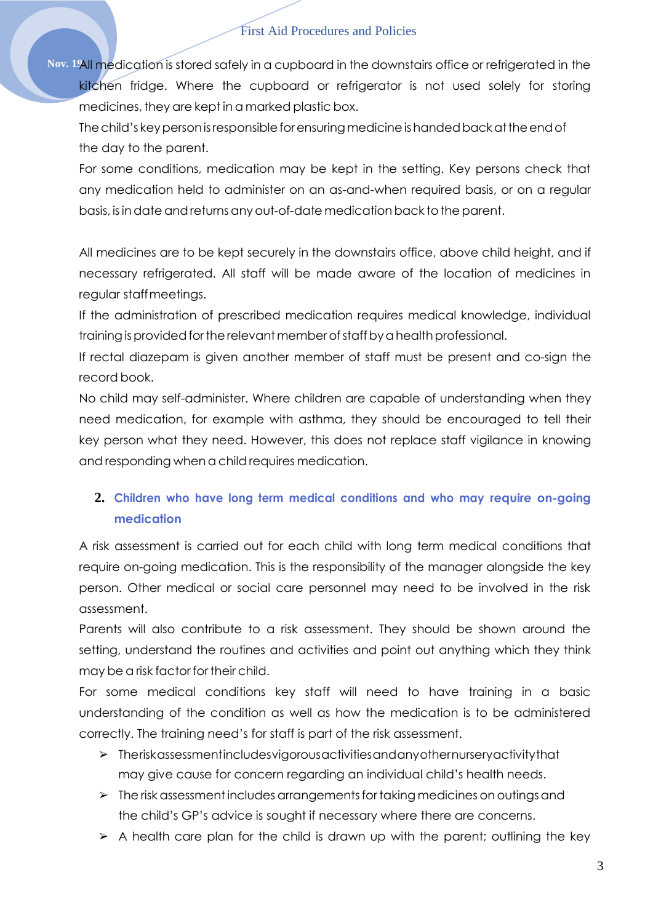**Nov. 19**All medication is stored safely in a cupboard in the downstairs office or refrigerated in the kitchen fridge. Where the cupboard or refrigerator is not used solely for storing medicines, they are kept in a marked plastic box.

Thechild's keypersonisresponsibleforensuringmedicineishandedbackattheendof the day to the parent.

For some conditions, medication may be kept in the setting. Key persons check that any medication held to administer on an as-and-when required basis, or on a regular basis, is in date and returns any out-of-date medication back to the parent.

All medicines are to be kept securely in the downstairs office, above child height, and if necessary refrigerated. All staff will be made aware of the location of medicines in regular staffmeetings.

If the administration of prescribed medication requires medical knowledge, individual training is provided for the relevant member of staff by a health professional.

If rectal diazepam is given another member of staff must be present and co-sign the record book.

No child may self-administer. Where children are capable of understanding when they need medication, for example with asthma, they should be encouraged to tell their key person what they need. However, this does not replace staff vigilance in knowing and responding when a child requires medication.

# **2. Children who have long term medical conditions and who may require on-going medication**

A risk assessment is carried out for each child with long term medical conditions that require on-going medication. This is the responsibility of the manager alongside the key person. Other medical or social care personnel may need to be involved in the risk assessment.

Parents will also contribute to a risk assessment. They should be shown around the setting, understand the routines and activities and point out anything which they think may be a risk factor for their child.

For some medical conditions key staff will need to have training in a basic understanding of the condition as well as how the medication is to be administered correctly. The training need's for staff is part of the risk assessment.

- ➢ Theriskassessmentincludesvigorousactivitiesandanyothernurseryactivitythat may give cause for concern regarding an individual child's health needs.
- $\triangleright$  The risk assessment includes arrangements for taking medicines on outings and the child's GP's advice is sought if necessary where there are concerns.
- $\triangleright$  A health care plan for the child is drawn up with the parent; outlining the key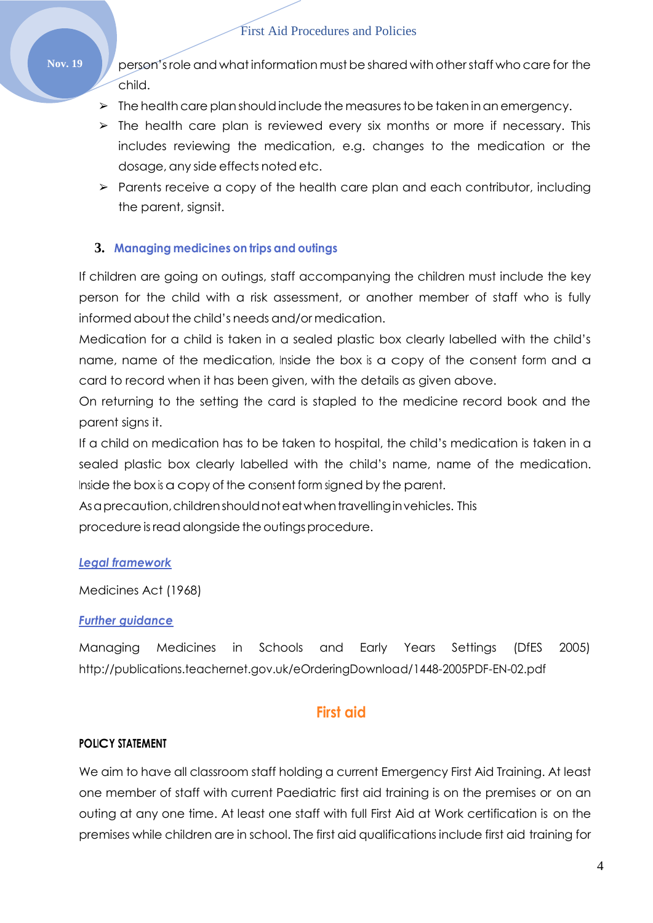Nov. 19 Publishers on 's role and what information must be shared with other staff who care for the child.

- $\triangleright$  The health care plan should include the measures to be taken in an emergency.
- $\geq$  The health care plan is reviewed every six months or more if necessary. This includes reviewing the medication, e.g. changes to the medication or the dosage, any side effects noted etc.
- $\triangleright$  Parents receive a copy of the health care plan and each contributor, including the parent, signsit.

#### **3. Managing medicines on trips and outings**

If children are going on outings, staff accompanying the children must include the key person for the child with a risk assessment, or another member of staff who is fully informed about the child's needs and/or medication.

Medication for a child is taken in a sealed plastic box clearly labelled with the child's name, name of the medication, Inside the box is a copy of the consent form and a card to record when it has been given, with the details as given above.

On returning to the setting the card is stapled to the medicine record book and the parent signs it.

If a child on medication has to be taken to hospital, the child's medication is taken in a sealed plastic box clearly labelled with the child's name, name of the medication. Inside the box is a copy of the consent form signed by the parent.

As a precaution, children should not eat when travelling invehicles. This procedure is read alongside the outings procedure.

#### *Legal framework*

Medicines Act (1968)

#### *Further guidance*

Managing Medicines in Schools and Early Years Settings (DfES 2005) <http://publications.teachernet.gov.uk/eOrderingDownload/1448-2005PDF-EN-02.pdf>

# **First aid**

#### <span id="page-3-0"></span>**POLICY STATEMENT**

We aim to have all classroom staff holding a current Emergency First Aid Training. At least one member of staff with current Paediatric first aid training is on the premises or on an outing at any one time. At least one staff with full First Aid at Work certification is on the premises while children are in school. The first aid qualifications include first aid training for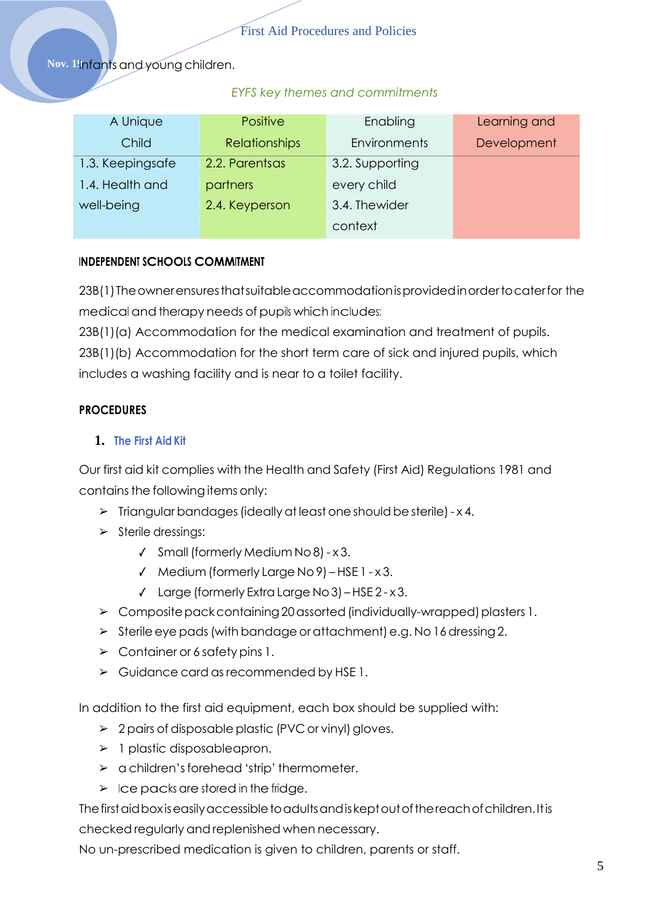Nov. 19infants and young children.

#### *EYFS key themes and commitments*

| A Unique         | <b>Positive</b>      | Enabling            | Learning and |
|------------------|----------------------|---------------------|--------------|
| Child            | <b>Relationships</b> | <b>Environments</b> | Development  |
| 1.3. Keepingsafe | 2.2. Parentsas       | 3.2. Supporting     |              |
| 1.4. Health and  | partners             | every child         |              |
| well-being       | 2.4. Keyperson       | 3.4. Thewider       |              |
|                  |                      | context             |              |

#### **INDEPENDENT SCHOOLS COMMITMENT**

23B(1)Theownerensuresthatsuitableaccommodationisprovidedinordertocaterfor the medical and therapy needs of pupils which includes:

23B(1)(a) Accommodation for the medical examination and treatment of pupils.

23B(1)(b) Accommodation for the short term care of sick and injured pupils, which includes a washing facility and is near to a toilet facility.

# **PROCEDURES**

### **1. The First Aid Kit**

Our first aid kit complies with the Health and Safety (First Aid) Regulations 1981 and contains the following items only:

- $\triangleright$  Triangular bandages (ideally at least one should be sterile) x 4.
- ➢ Sterile dressings:
	- ✓ Small(formerly Medium No8)- x 3.
	- ✓ Medium (formerly Large No9) HSE 1 x 3.
	- ✓ Large (formerly ExtraLarge No3) –HSE 2 x 3.
- ➢ Compositepackcontaining20assorted(individually-wrapped)plasters 1.
- $\triangleright$  Sterile eye pads (with bandage or attachment) e.g. No 16 dressing 2.
- $\triangleright$  Container or 6 safety pins 1.
- ➢ Guidance card asrecommended by HSE 1.

In addition to the first aid equipment, each box should be supplied with:

- $\geq 2$  pairs of disposable plastic (PVC or vinyl) gloves.
- $\triangleright$  1 plastic disposableapron.
- ➢ a children'sforehead 'strip' thermometer.
- $\triangleright$  Ice packs are stored in the fridge.

Thefirstaidboxiseasilyaccessibletoadultsandiskeptoutofthereachofchildren.Itis checked regularly andreplenished when necessary.

No un-prescribed medication is given to children, parents or staff.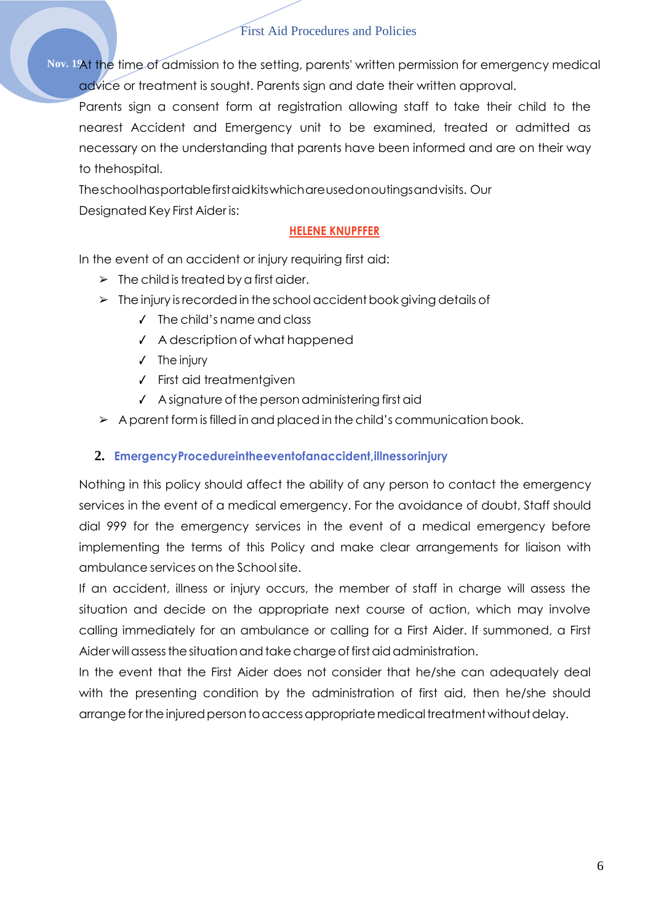**Nov. 19**At the time of admission to the setting, parents' written permission for emergency medical advice or treatment is sought. Parents sign and date their written approval.

Parents sign a consent form at registration allowing staff to take their child to the nearest Accident and Emergency unit to be examined, treated or admitted as necessary on the understanding that parents have been informed and are on their way to thehospital.

Theschoolhasportablefirstaidkitswhichareusedonoutingsandvisits. Our Designated Key First Aider is:

### **HELENE KNUPFFER**

In the event of an accident or injury requiring first aid:

- $\triangleright$  The child is treated by a first aider.
- $\triangleright$  The injury is recorded in the school accident book giving details of
	- ✓ The child's name and class
	- ✓ A description of what happened
	- ✓ The injury
	- ✓ First aid treatmentgiven
	- ✓ A signature of the personadministering first aid
- $\triangleright$  A parent form is filled in and placed in the child's communication book.

# **2. EmergencyProcedureintheeventofanaccident,illnessorinjury**

Nothing in this policy should affect the ability of any person to contact the emergency services in the event of a medical emergency. For the avoidance of doubt, Staff should dial 999 for the emergency services in the event of a medical emergency before implementing the terms of this Policy and make clear arrangements for liaison with ambulance services on the Schoolsite.

If an accident, illness or injury occurs, the member of staff in charge will assess the situation and decide on the appropriate next course of action, which may involve calling immediately for an ambulance or calling for a First Aider. If summoned, a First Aider will assess the situation and take charge of first aid administration.

In the event that the First Aider does not consider that he/she can adequately deal with the presenting condition by the administration of first aid, then he/she should arrange for the injured person to access appropriate medical treatment without delay.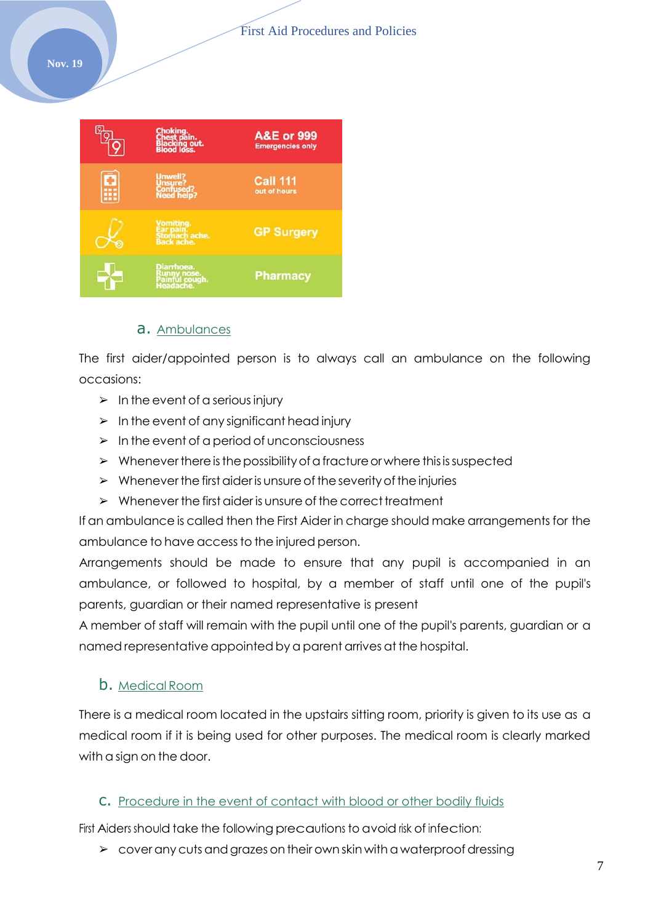

#### a. Ambulances

The first aider/appointed person is to always call an ambulance on the following occasions:

- $\triangleright$  In the event of a serious injury
- $\triangleright$  In the event of any significant head injury
- $\triangleright$  In the event of a period of unconsciousness
- $\triangleright$  Whenever there is the possibility of a fracture or where this is suspected
- $\triangleright$  Whenever the first aider is unsure of the severity of the injuries
- $\triangleright$  Whenever the first aider is unsure of the correct treatment

If an ambulance is called then the First Aider in charge should make arrangements for the ambulance to have accessto the injured person.

Arrangements should be made to ensure that any pupil is accompanied in an ambulance, or followed to hospital, by a member of staff until one of the pupil's parents, guardian or their named representative is present

A member of staff will remain with the pupil until one of the pupil's parents, guardian or a named representative appointed bya parent arrives at the hospital.

#### b. Medical Room

There is a medical room located in the upstairs sitting room, priority is given to its use as a medical room if it is being used for other purposes. The medical room is clearly marked with a sign on the door.

#### c. Procedure in the event of contact with blood or other bodily fluids

First Aiders should take the following precautions to avoid risk of infection:

 $\geq$  cover any cuts and grazes on their own skin with a waterproof dressing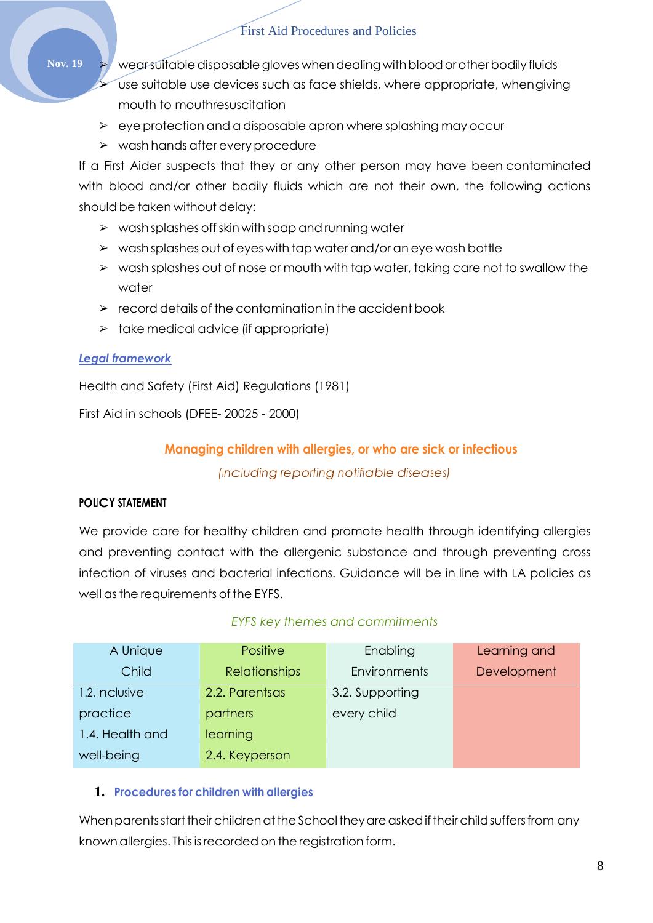Nov. 19  $\rightarrow$  wearsuitable disposable gloves when dealing with blood or other bodily fluids use suitable use devices such as face shields, where appropriate, whengiving mouth to mouthresuscitation

- $\triangleright$  eye protection and a disposable apron where splashing may occur
- ➢ wash hands after every procedure

If a First Aider suspects that they or any other person may have been contaminated with blood and/or other bodily fluids which are not their own, the following actions should be taken without delay:

- $\triangleright$  wash splashes off skin with soap and running water
- ➢ wash splashes out of eyes with tap water and/or an eye wash bottle
- ➢ wash splashes out of nose or mouth with tap water, taking care not to swallow the water
- $\triangleright$  record details of the contamination in the accident book
- $\triangleright$  take medical advice (if appropriate)

### *Legal framework*

Health and Safety (First Aid) Regulations (1981)

<span id="page-7-0"></span>First Aid in schools (DFEE- 20025 - 2000)

# **Managing children with allergies, or who are sick or infectious**

*(Including reporting notifiable diseases)*

### **POLICY STATEMENT**

We provide care for healthy children and promote health through identifying allergies and preventing contact with the allergenic substance and through preventing cross infection of viruses and bacterial infections. Guidance will be in line with LA policies as well as the requirements of the EYFS.

### *EYFS key themes and commitments*

| A Unique        | <b>Positive</b>      | Enabling            | Learning and |
|-----------------|----------------------|---------------------|--------------|
| Child           | <b>Relationships</b> | <b>Environments</b> | Development  |
| 1.2. Inclusive  | 2.2. Parentsas       | 3.2. Supporting     |              |
| practice        | partners             | every child         |              |
| 1.4. Health and | learning             |                     |              |
| well-being      | 2.4. Keyperson       |                     |              |

### **1. Procedures for children with allergies**

When parents start their children at the School they are asked if their child suffers from any known allergies. This is recorded on the registration form.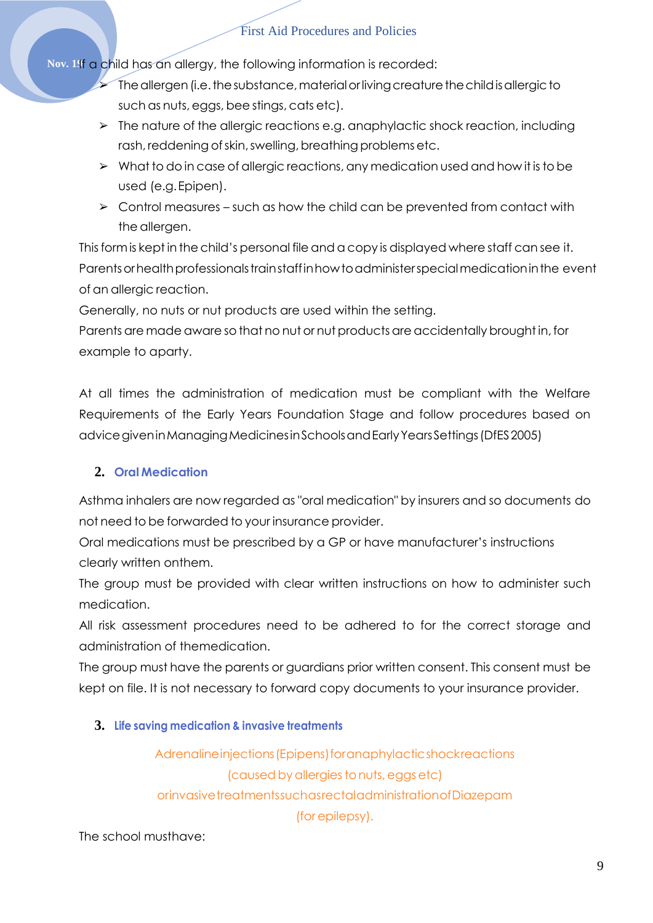**Nov. 19**If a child has an allergy, the following information is recorded:

- $\triangleright$  The allergen (i.e. the substance, material or living creature the child is allergic to such as nuts, eggs, bee stings, cats etc).
- ➢ The nature of the allergic reactions e.g. anaphylactic shock reaction, including rash, reddening of skin, swelling, breathing problems etc.
- ➢ What to do in case of allergic reactions, any medication used and how it isto be used (e.g.Epipen).
- $\geq$  Control measures such as how the child can be prevented from contact with the allergen.

This form is kept in the child's personal file and a copy is displayed where staff can see it. Parents or health professionals trainstaff in how to administer special medication in the event of an allergic reaction.

Generally, no nuts or nut products are used within the setting.

Parents are made aware so that no nut or nut products are accidentally brought in, for example to aparty.

At all times the administration of medication must be compliant with the Welfare Requirements of the Early Years Foundation Stage and follow procedures based on advicegiveninManagingMedicinesinSchoolsandEarlyYearsSettings(DfES2005)

# **2. Oral Medication**

Asthma inhalers are now regarded as "oral medication" by insurers and so documents do not need to be forwarded to your insurance provider.

Oral medications must be prescribed by a GP or have manufacturer's instructions clearly written onthem.

The group must be provided with clear written instructions on how to administer such medication.

All risk assessment procedures need to be adhered to for the correct storage and administration of themedication.

The group must have the parents or guardians prior written consent. This consent must be kept on file. It is not necessary to forward copy documents to your insurance provider.

# **3. Life saving medication & invasive treatments**

Adrenalineinjections (Epipens) foranaphylacticshockreactions (caused by allergies to nuts, eggs etc) orinvasivetreatmentssuchasrectaladministrationofDiazepam (for epilepsy).

# The school musthave: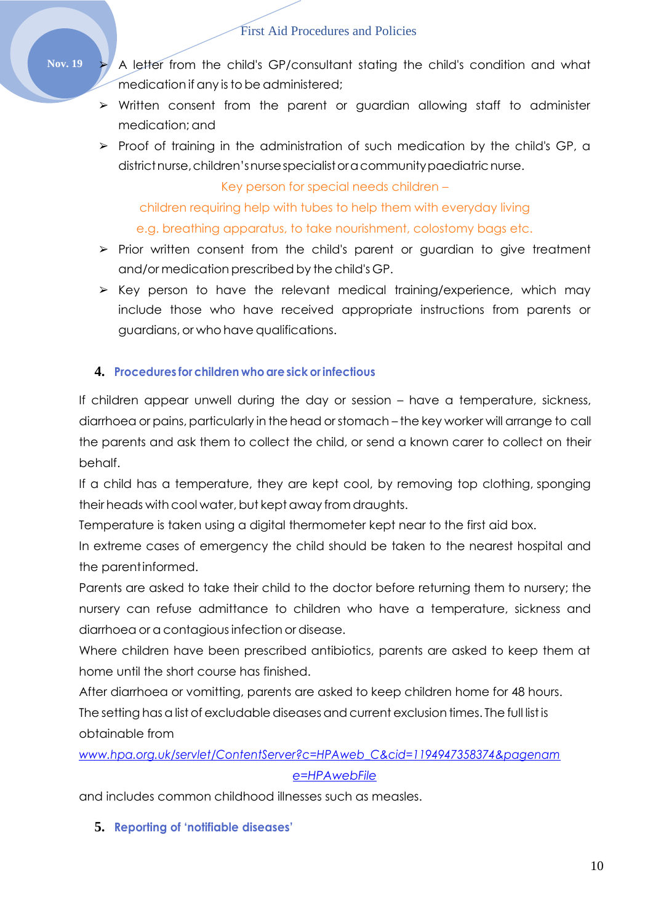Nov. 19 > A letter from the child's GP/consultant stating the child's condition and what medication if any is to be administered;

- ➢ Written consent from the parent or guardian allowing staff to administer medication; and
- ➢ Proof of training in the administration of such medication by the child's GP, a district nurse, children's nurse specialist or a community paediatric nurse.

Key person for special needs children –

children requiring help with tubes to help them with everyday living

### e.g. breathing apparatus, to take nourishment, colostomy bags etc.

- ➢ Prior written consent from the child's parent or guardian to give treatment and/or medication prescribed by the child's GP.
- $\triangleright$  Key person to have the relevant medical training/experience, which may include those who have received appropriate instructions from parents or guardians, or who have qualifications.

# **4. Procedures for children whoaresick orinfectious**

If children appear unwell during the day or session – have a temperature, sickness, diarrhoea or pains, particularly in the head orstomach – the key worker will arrange to call the parents and ask them to collect the child, or send a known carer to collect on their behalf.

If a child has a temperature, they are kept cool, by removing top clothing, sponging their heads with cool water, but kept away from draughts.

Temperature is taken using a digital thermometer kept near to the first aid box.

In extreme cases of emergency the child should be taken to the nearest hospital and the parentinformed.

Parents are asked to take their child to the doctor before returning them to nursery; the nursery can refuse admittance to children who have a temperature, sickness and diarrhoea or a contagiousinfection or disease.

Where children have been prescribed antibiotics, parents are asked to keep them at home until the short course has finished.

After diarrhoea or vomitting, parents are asked to keep children home for 48 hours.

The setting has a list of excludable diseases and current exclusion times. The full list is obtainable from

# *[www.hpa.org.uk/servlet/ContentServer?c=HPAweb\\_C&cid=1194947358374&pagenam](http://www.hpa.org.uk/servlet/ContentServer?c=HPAweb_C&cid=1194947358374&pagename=HPAwebFile)*

### *[e=HPAwebFile](http://www.hpa.org.uk/servlet/ContentServer?c=HPAweb_C&cid=1194947358374&pagename=HPAwebFile)*

and includes common childhood illnesses such as measles.

# **5. Reporting of 'notifiable diseases'**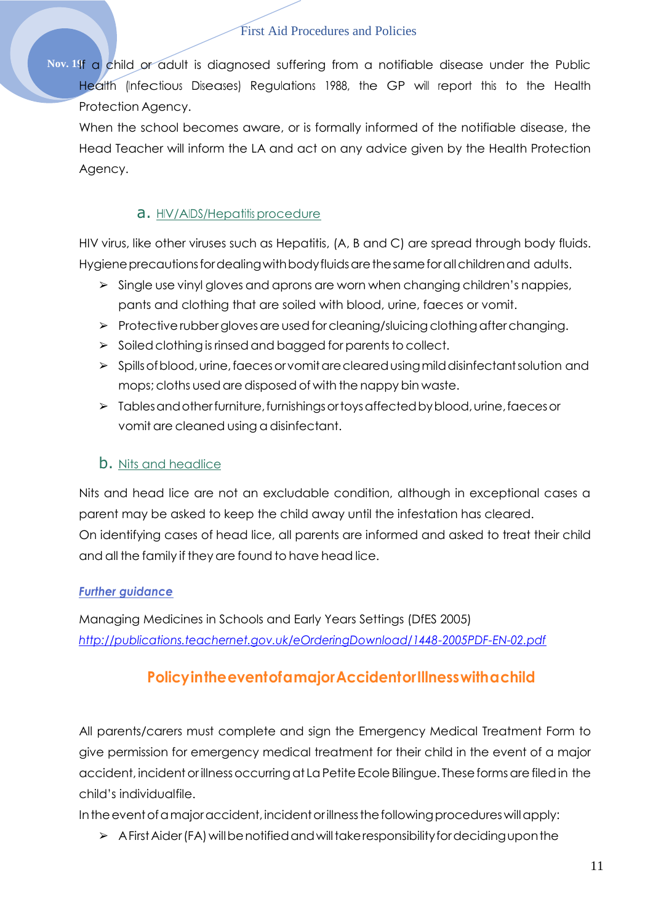Nov. 191<sub>1</sub> a child or adult is diagnosed suffering from a notifiable disease under the Public Health (Infectious Diseases) Regulations 1988, the GP will report this to the Health Protection Agency.

When the school becomes aware, or is formally informed of the notifiable disease, the Head Teacher will inform the LA and act on any advice given by the Health Protection Agency.

# a. HIV/AIDS/Hepatitis procedure

HIV virus, like other viruses such as Hepatitis, (A, B and C) are spread through body fluids. Hygiene precautions for dealing with body fluids are the same for all children and adults.

- $\triangleright$  Single use vinyl gloves and aprons are worn when changing children's nappies, pants and clothing that are soiled with blood, urine, faeces or vomit.
- $\triangleright$  Protective rubber gloves are used for cleaning/sluicing clothing after changing.
- $\triangleright$  Soiled clothing is rinsed and bagged for parents to collect.
- ➢ Spillsofblood,urine,faecesorvomitareclearedusingmilddisinfectantsolution and mops; cloths used are disposed of with the nappy bin waste.
- ➢ Tablesandotherfurniture,furnishingsortoysaffectedbyblood,urine,faecesor vomit are cleaned using a disinfectant.

# **b.** Nits and headlice

Nits and head lice are not an excludable condition, although in exceptional cases a parent may be asked to keep the child away until the infestation has cleared. On identifying cases of head lice, all parents are informed and asked to treat their child and all the family if they are found to have head lice.

# *Further guidance*

<span id="page-10-0"></span>Managing Medicines in Schools and Early Years Settings (DfES 2005) *<http://publications.teachernet.gov.uk/eOrderingDownload/1448-2005PDF-EN-02.pdf>*

# **PolicyintheeventofamajorAccidentorIllnesswithachild**

All parents/carers must complete and sign the Emergency Medical Treatment Form to give permission for emergency medical treatment for their child in the event of a major accident, incident or illness occurring at La Petite Ecole Bilingue. These forms are filed in the child's individualfile.

In the event of a major accident, incident or illness the following procedures will apply:

 $\triangleright$  A First Aider (FA) will be notified and will take responsibility for deciding upon the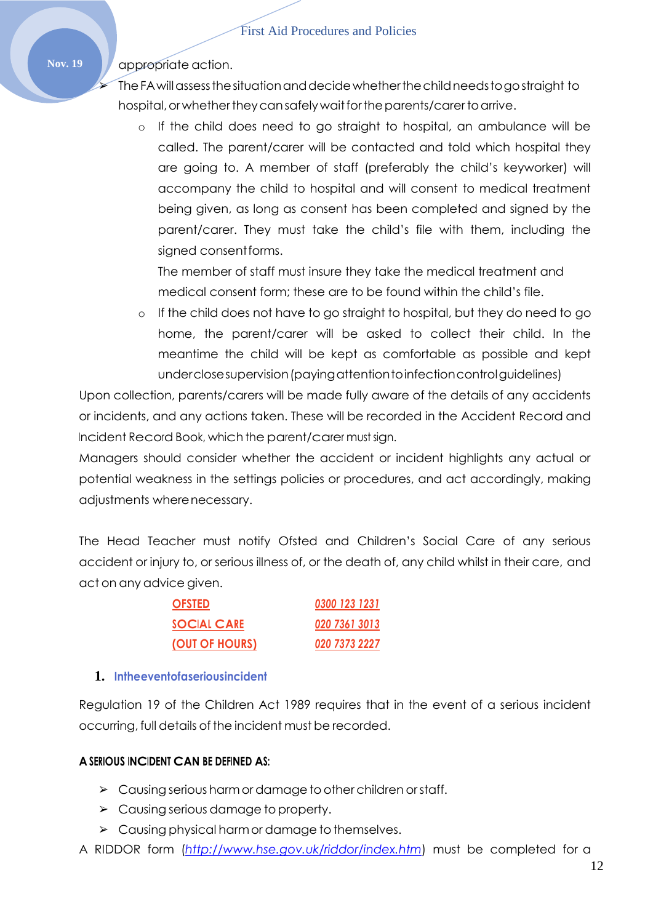# Nov. 19 **A** appropriate action.

➢ TheFAwillassessthesituationanddecidewhetherthechildneedstogostraight to hospital, or whether they can safely wait for the parents/carer to arrive.

o If the child does need to go straight to hospital, an ambulance will be called. The parent/carer will be contacted and told which hospital they are going to. A member of staff (preferably the child's keyworker) will accompany the child to hospital and will consent to medical treatment being given, as long as consent has been completed and signed by the parent/carer. They must take the child's file with them, including the signed consentforms.

The member of staff must insure they take the medical treatment and medical consent form; these are to be found within the child's file.

o If the child does not have to go straight to hospital, but they do need to go home, the parent/carer will be asked to collect their child. In the meantime the child will be kept as comfortable as possible and kept underclosesupervision(payingattentiontoinfectioncontrolguidelines)

Upon collection, parents/carers will be made fully aware of the details of any accidents or incidents, and any actions taken. These will be recorded in the Accident Record and Incident Record Book, which the parent/carer must sign.

Managers should consider whether the accident or incident highlights any actual or potential weakness in the settings policies or procedures, and act accordingly, making adjustments wherenecessary.

The Head Teacher must notify Ofsted and Children's Social Care of any serious accident or injury to, or serious illness of, or the death of, any child whilst in their care, and act on any advice given.

| <b>OFSTED</b>         | 0300 123 1231 |
|-----------------------|---------------|
| <b>SOCIAL CARE</b>    | 020 7361 3013 |
| <u>(OUT OF HOURS)</u> | 020 7373 2227 |

#### **1. Intheeventofaseriousincident**

Regulation 19 of the Children Act 1989 requires that in the event of a serious incident occurring, full details of the incident must be recorded.

#### **A SERIOUS INCIDENT CAN BE DEFINED AS:**

- $\triangleright$  Causing serious harm or damage to other children or staff.
- $\geq$  Causing serious damage to property.
- ➢ Causing physical harmor damage to themselves.
- A RIDDOR form (*<http://www.hse.gov.uk/riddor/index.htm>*) must be completed for a